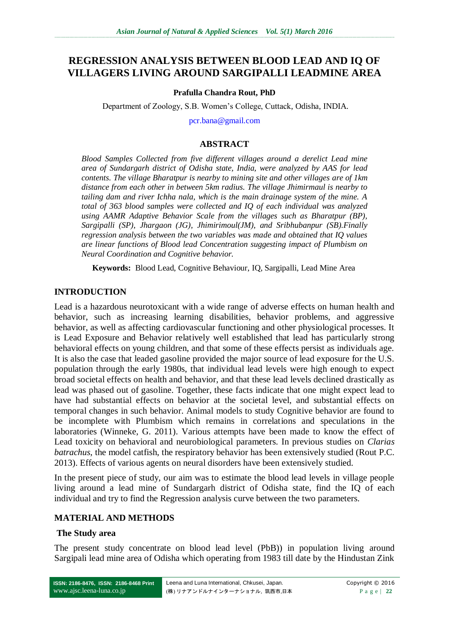# **REGRESSION ANALYSIS BETWEEN BLOOD LEAD AND IQ OF VILLAGERS LIVING AROUND SARGIPALLI LEADMINE AREA**

#### **Prafulla Chandra Rout, PhD**

Department of Zoology, S.B. Women's College, Cuttack, Odisha, INDIA.

[pcr.bana@gmail.com](mailto:pcr.bana@gmail.com)

### **ABSTRACT**

*Blood Samples Collected from five different villages around a derelict Lead mine area of Sundargarh district of Odisha state, India, were analyzed by AAS for lead contents. The village Bharatpur is nearby to mining site and other villages are of 1km distance from each other in between 5km radius. The village Jhimirmaul is nearby to tailing dam and river Ichha nala, which is the main drainage system of the mine. A total of 363 blood samples were collected and IQ of each individual was analyzed using AAMR Adaptive Behavior Scale from the villages such as Bharatpur (BP), Sargipalli (SP), Jhargaon (JG), Jhimirimoul(JM), and Sribhubanpur (SB).Finally regression analysis between the two variables was made and obtained that IQ values are linear functions of Blood lead Concentration suggesting impact of Plumbism on Neural Coordination and Cognitive behavior.*

**Keywords:** Blood Lead, Cognitive Behaviour, IQ, Sargipalli, Lead Mine Area

### **INTRODUCTION**

Lead is a hazardous neurotoxicant with a wide range of adverse effects on human health and behavior, such as increasing learning disabilities, behavior problems, and aggressive behavior, as well as affecting cardiovascular functioning and other physiological processes. It is Lead Exposure and Behavior relatively well established that lead has particularly strong behavioral effects on young children, and that some of these effects persist as individuals age. It is also the case that leaded gasoline provided the major source of lead exposure for the U.S. population through the early 1980s, that individual lead levels were high enough to expect broad societal effects on health and behavior, and that these lead levels declined drastically as lead was phased out of gasoline. Together, these facts indicate that one might expect lead to have had substantial effects on behavior at the societal level, and substantial effects on temporal changes in such behavior. Animal models to study Cognitive behavior are found to be incomplete with Plumbism which remains in correlations and speculations in the laboratories (Winneke, G. 2011). Various attempts have been made to know the effect of Lead toxicity on behavioral and neurobiological parameters. In previous studies on *Clarias batrachus*, the model catfish, the respiratory behavior has been extensively studied (Rout P.C. 2013). Effects of various agents on neural disorders have been extensively studied.

In the present piece of study, our aim was to estimate the blood lead levels in village people living around a lead mine of Sundargarh district of Odisha state, find the IQ of each individual and try to find the Regression analysis curve between the two parameters.

### **MATERIAL AND METHODS**

#### **The Study area**

The present study concentrate on blood lead level (PbB)) in population living around Sargipali lead mine area of Odisha which operating from 1983 till date by the Hindustan Zink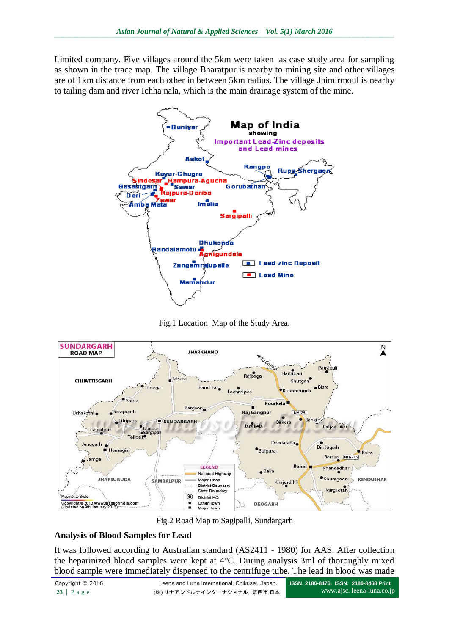Limited company. Five villages around the 5km were taken as case study area for sampling as shown in the trace map. The village Bharatpur is nearby to mining site and other villages are of 1km distance from each other in between 5km radius. The village Jhimirmoul is nearby to tailing dam and river Ichha nala, which is the main drainage system of the mine.







Fig.2 Road Map to Sagipalli, Sundargarh

## **Analysis of Blood Samples for Lead**

It was followed according to Australian standard (AS2411 - 1980) for AAS. After collection the heparinized blood samples were kept at 4°C. During analysis 3ml of thoroughly mixed blood sample were immediately dispensed to the centrifuge tube. The lead in blood was made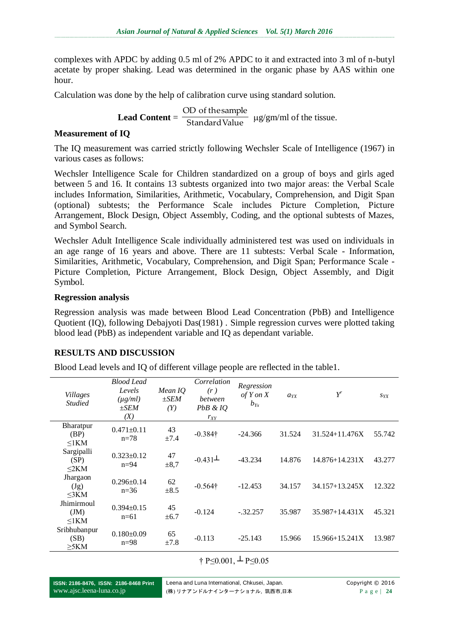complexes with APDC by adding 0.5 ml of 2% APDC to it and extracted into 3 ml of n-butyl acetate by proper shaking. Lead was determined in the organic phase by AAS within one hour.

Calculation was done by the help of calibration curve using standard solution.

**Lead Content** =  $\frac{1}{\text{Standard Value}}$ OD of thesample g/gm/ml of the tissue.

### **Measurement of IQ**

The IQ measurement was carried strictly following Wechsler Scale of Intelligence (1967) in various cases as follows:

Wechsler Intelligence Scale for Children standardized on a group of boys and girls aged between 5 and 16. It contains 13 subtests organized into two major areas: the Verbal Scale includes Information, Similarities, Arithmetic, Vocabulary, Comprehension, and Digit Span (optional) subtests; the Performance Scale includes Picture Completion, Picture Arrangement, Block Design, Object Assembly, Coding, and the optional subtests of Mazes, and Symbol Search.

Wechsler Adult Intelligence Scale individually administered test was used on individuals in an age range of 16 years and above. There are 11 subtests: Verbal Scale - Information, Similarities, Arithmetic, Vocabulary, Comprehension, and Digit Span; Performance Scale - Picture Completion, Picture Arrangement, Block Design, Object Assembly, and Digit Symbol.

### **Regression analysis**

Regression analysis was made between Blood Lead Concentration (PbB) and Intelligence Quotient (IQ), following Debajyoti Das(1981) . Simple regression curves were plotted taking blood lead (PbB) as independent variable and IQ as dependant variable.

## **RESULTS AND DISCUSSION**

Blood Lead levels and IQ of different village people are reflected in the table1.

| <b>Villages</b><br><b>Studied</b> | <b>Blood Lead</b><br>Levels<br>$(\mu g/ml)$<br>$\pm SEM$<br>(X) | Mean IQ<br>$\pm SEM$<br>(Y) | Correlation<br>(r)<br><i>between</i><br>$PbB \& IQ$<br>$r_{XY}$ | Regression<br>of Y on X<br>$b_{Y_X}$ | $a_{YX}$ | $Y^r$              | $S_{YX}$ |
|-----------------------------------|-----------------------------------------------------------------|-----------------------------|-----------------------------------------------------------------|--------------------------------------|----------|--------------------|----------|
| Bharatpur<br>(BP)<br>$\leq$ 1KM   | $0.471 \pm 0.11$<br>$n=78$                                      | 43<br>±7.4                  | $-0.384\dagger$                                                 | $-24.366$                            | 31.524   | $31.524 + 11.476X$ | 55.742   |
| Sargipalli<br>(SP)<br>$\leq$ 2KM  | $0.323 \pm 0.12$<br>$n=94$                                      | 47<br>$\pm 8.7$             | $-0.431\pm$                                                     | $-43.234$                            | 14.876   | $14.876 + 14.231X$ | 43.277   |
| Jhargaon<br>(Jg)<br>$\leq$ 3KM    | $0.296 \pm 0.14$<br>$n=36$                                      | 62<br>$\pm 8.5$             | $-0.564\dagger$                                                 | $-12.453$                            | 34.157   | 34.157+13.245X     | 12.322   |
| Jhimirmoul<br>JM<br>$\leq$ 1KM    | $0.394 \pm 0.15$<br>$n=61$                                      | 45<br>±6.7                  | $-0.124$                                                        | $-.32.257$                           | 35.987   | $35.987 + 14.431X$ | 45.321   |
| Sribhubanpur<br>(SB)<br>$>5$ KM   | $0.180+0.09$<br>$n=98$                                          | 65<br>±7.8                  | $-0.113$                                                        | $-25.143$                            | 15.966   | $15.966 + 15.241X$ | 13.987   |

# † P≤0.001,  $\perp$  P≤0.05

**ISSN: 2186-8476, ISSN: 2186-8468 Print** www.ajsc.leena-luna.co.jp

Leena and Luna International, Chkusei, Japan. Copyright © 2016 (株) リナアンドルナインターナショナル, 筑西市,日本<br> **Page | 24**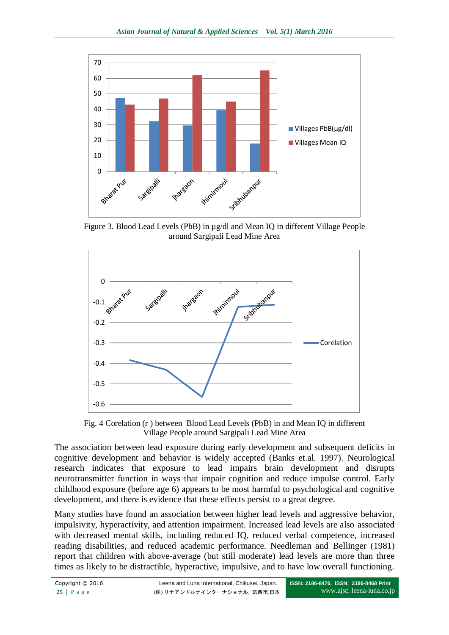

Figure 3. Blood Lead Levels (PbB) in µg/dl and Mean IQ in different Village People around Sargipali Lead Mine Area



Fig. 4 Corelation (r ) between Blood Lead Levels (PbB) in and Mean IQ in different Village People around Sargipali Lead Mine Area

The association between lead exposure during early development and subsequent deficits in cognitive development and behavior is widely accepted (Banks et.al. 1997). Neurological research indicates that exposure to lead impairs brain development and disrupts neurotransmitter function in ways that impair cognition and reduce impulse control. Early childhood exposure (before age 6) appears to be most harmful to psychological and cognitive development, and there is evidence that these effects persist to a great degree.

Many studies have found an association between higher lead levels and aggressive behavior, impulsivity, hyperactivity, and attention impairment. Increased lead levels are also associated with decreased mental skills, including reduced IQ, reduced verbal competence, increased reading disabilities, and reduced academic performance. Needleman and Bellinger (1981) report that children with above-average (but still moderate) lead levels are more than three times as likely to be distractible, hyperactive, impulsive, and to have low overall functioning.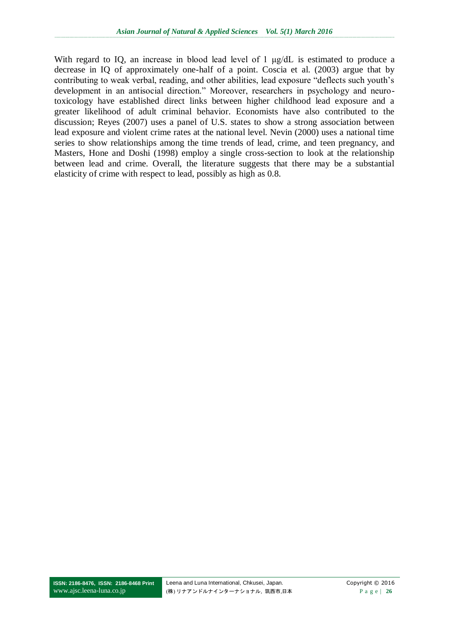With regard to IQ, an increase in blood lead level of 1 μg/dL is estimated to produce a decrease in IQ of approximately one-half of a point. Coscia et al. (2003) argue that by contributing to weak verbal, reading, and other abilities, lead exposure "deflects such youth's development in an antisocial direction." Moreover, researchers in psychology and neurotoxicology have established direct links between higher childhood lead exposure and a greater likelihood of adult criminal behavior. Economists have also contributed to the discussion; Reyes (2007) uses a panel of U.S. states to show a strong association between lead exposure and violent crime rates at the national level. Nevin (2000) uses a national time series to show relationships among the time trends of lead, crime, and teen pregnancy, and Masters, Hone and Doshi (1998) employ a single cross-section to look at the relationship between lead and crime. Overall, the literature suggests that there may be a substantial elasticity of crime with respect to lead, possibly as high as 0.8.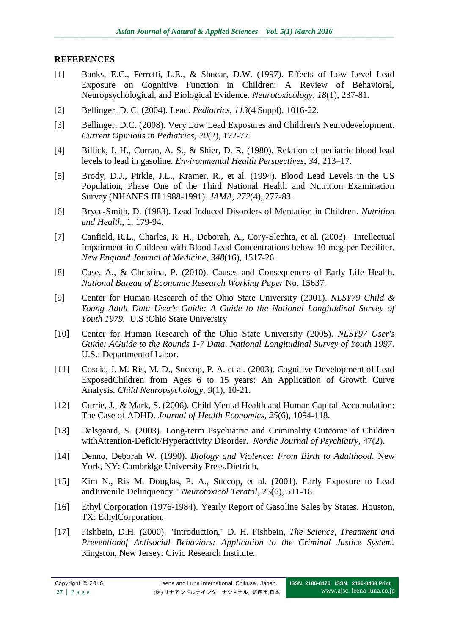### **REFERENCES**

- [1] Banks, E.C., Ferretti, L.E., & Shucar, D.W. (1997). Effects of Low Level Lead Exposure on Cognitive Function in Children: A Review of Behavioral, Neuropsychological, and Biological Evidence. *Neurotoxicology*, *18*(1), 237-81.
- [2] Bellinger, D. C. (2004). Lead. *Pediatrics*, *113*(4 Suppl), 1016-22.
- [3] Bellinger, D.C. (2008). Very Low Lead Exposures and Children's Neurodevelopment. *Current Opinions in Pediatrics*, *20*(2), 172-77.
- [4] Billick, I. H., Curran, A. S., & Shier, D. R. (1980). Relation of pediatric blood lead levels to lead in gasoline. *Environmental Health Perspectives*, *34*, 213–17.
- [5] Brody, D.J., Pirkle, J.L., Kramer, R., et al. (1994). Blood Lead Levels in the US Population, Phase One of the Third National Health and Nutrition Examination Survey (NHANES III 1988-1991). *JAMA*, *272*(4), 277-83.
- [6] Bryce-Smith, D. (1983). Lead Induced Disorders of Mentation in Children. *Nutrition and Health*, 1, 179-94.
- [7] Canfield, R.L., Charles, R. H., Deborah, A., Cory-Slechta, et al. (2003). Intellectual Impairment in Children with Blood Lead Concentrations below 10 mcg per Deciliter. *New England Journal of Medicine*, *348*(16), 1517-26.
- [8] Case, A., & Christina, P. (2010). Causes and Consequences of Early Life Health. *National Bureau of Economic Research Working Paper* No. 15637.
- [9] Center for Human Research of the Ohio State University (2001). *NLSY79 Child & Young Adult Data User's Guide: A Guide to the National Longitudinal Survey of Youth 1979.* U.S :Ohio State University
- [10] Center for Human Research of the Ohio State University (2005). *NLSY97 User's Guide: AGuide to the Rounds 1-7 Data, National Longitudinal Survey of Youth 1997.*  U.S.: Departmentof Labor.
- [11] Coscia, J. M. Ris, M. D., Succop, P. A. et al. (2003). Cognitive Development of Lead ExposedChildren from Ages 6 to 15 years: An Application of Growth Curve Analysis. *Child Neuropsychology*, *9*(1), 10-21.
- [12] Currie, J., & Mark, S. (2006). Child Mental Health and Human Capital Accumulation: The Case of ADHD. *Journal of Health Economics*, *25*(6), 1094-118.
- [13] Dalsgaard, S. (2003). Long-term Psychiatric and Criminality Outcome of Children withAttention-Deficit/Hyperactivity Disorder. *Nordic Journal of Psychiatry*, 47(2).
- [14] Denno, Deborah W. (1990). *Biology and Violence: From Birth to Adulthood*. New York, NY: Cambridge University Press.Dietrich,
- [15] Kim N., Ris M. Douglas, P. A., Succop, et al. (2001). Early Exposure to Lead andJuvenile Delinquency." *Neurotoxicol Teratol*, 23(6), 511-18.
- [16] Ethyl Corporation (1976-1984). Yearly Report of Gasoline Sales by States. Houston, TX: EthylCorporation.
- [17] Fishbein, D.H. (2000). "Introduction," D. H. Fishbein, *The Science, Treatment and Preventionof Antisocial Behaviors: Application to the Criminal Justice System.*  Kingston, New Jersey: Civic Research Institute.